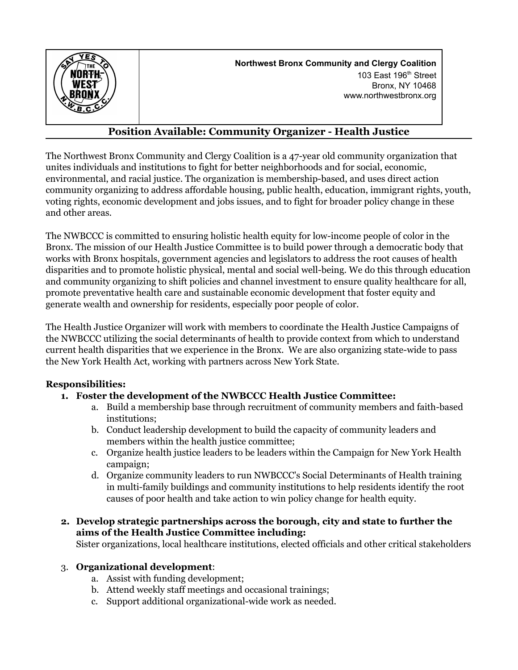

**Northwest Bronx Community and Clergy Coalition** 103 East 196 th Street Bronx, NY 10468 www.northwestbronx.org

# **Position Available: Community Organizer - Health Justice**

The Northwest Bronx Community and Clergy Coalition is a 47-year old community organization that unites individuals and institutions to fight for better neighborhoods and for social, economic, environmental, and racial justice. The organization is membership-based, and uses direct action community organizing to address affordable housing, public health, education, immigrant rights, youth, voting rights, economic development and jobs issues, and to fight for broader policy change in these and other areas.

The NWBCCC is committed to ensuring holistic health equity for low-income people of color in the Bronx. The mission of our Health Justice Committee is to build power through a democratic body that works with Bronx hospitals, government agencies and legislators to address the root causes of health disparities and to promote holistic physical, mental and social well-being. We do this through education and community organizing to shift policies and channel investment to ensure quality healthcare for all, promote preventative health care and sustainable economic development that foster equity and generate wealth and ownership for residents, especially poor people of color.

The Health Justice Organizer will work with members to coordinate the Health Justice Campaigns of the NWBCCC utilizing the social determinants of health to provide context from which to understand current health disparities that we experience in the Bronx. We are also organizing state-wide to pass the New York Health Act, working with partners across New York State.

### **Responsibilities:**

### **1. Foster the development of the NWBCCC Health Justice Committee:**

- a. Build a membership base through recruitment of community members and faith-based institutions;
- b. Conduct leadership development to build the capacity of community leaders and members within the health justice committee;
- c. Organize health justice leaders to be leaders within the Campaign for New York Health campaign;
- d. Organize community leaders to run NWBCCC's Social Determinants of Health training in multi-family buildings and community institutions to help residents identify the root causes of poor health and take action to win policy change for health equity.
- **2. Develop strategic partnerships across the borough, city and state to further the aims of the Health Justice Committee including:**

Sister organizations, local healthcare institutions, elected officials and other critical stakeholders

#### 3. **Organizational development**:

- a. Assist with funding development;
- b. Attend weekly staff meetings and occasional trainings;
- c. Support additional organizational-wide work as needed.